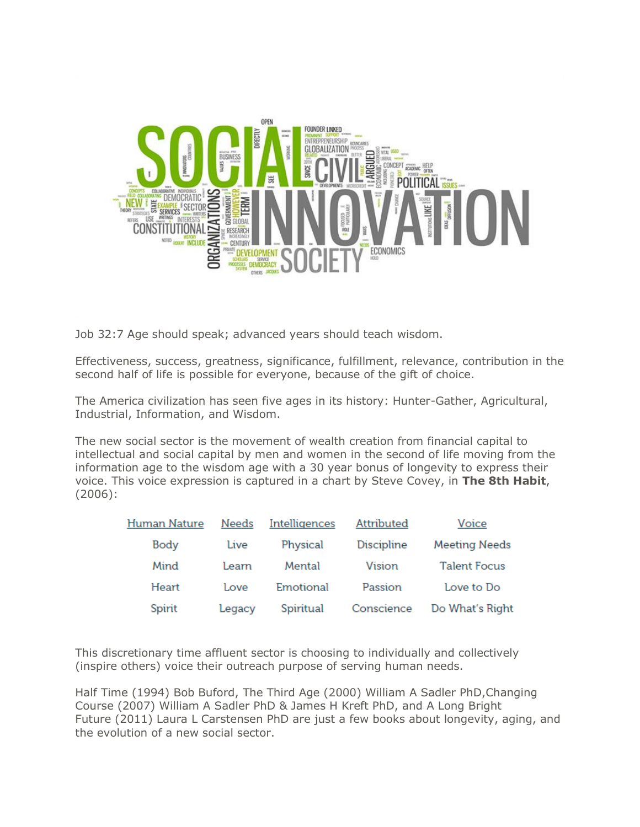

Job 32:7 Age should speak; advanced years should teach wisdom.

Effectiveness, success, greatness, significance, fulfillment, relevance, contribution in the second half of life is possible for everyone, because of the gift of choice.

The America civilization has seen five ages in its history: Hunter-Gather, Agricultural, Industrial, Information, and Wisdom.

The new social sector is the movement of wealth creation from financial capital to intellectual and social capital by men and women in the second of life moving from the information age to the wisdom age with a 30 year bonus of longevity to express their voice. This voice expression is captured in a chart by Steve Covey, in **The 8th Habit**, (2006):

| Human Nature | Needs  | Intelligences | <b>Attributed</b> | Voice                |
|--------------|--------|---------------|-------------------|----------------------|
| Body         | Live   | Physical      | <b>Discipline</b> | <b>Meeting Needs</b> |
| Mind         | Learn  | Mental        | Vision            | <b>Talent Focus</b>  |
| Heart        | Love   | Emotional     | Passion           | Love to Do           |
| Spirit       | Legacy | Spiritual     | Conscience        | Do What's Right      |

This discretionary time affluent sector is choosing to individually and collectively (inspire others) voice their outreach purpose of serving human needs.

Half Time (1994) Bob Buford, The Third Age (2000) William A Sadler PhD,Changing Course (2007) William A Sadler PhD & James H Kreft PhD, and A Long Bright Future (2011) Laura L Carstensen PhD are just a few books about longevity, aging, and the evolution of a new social sector.